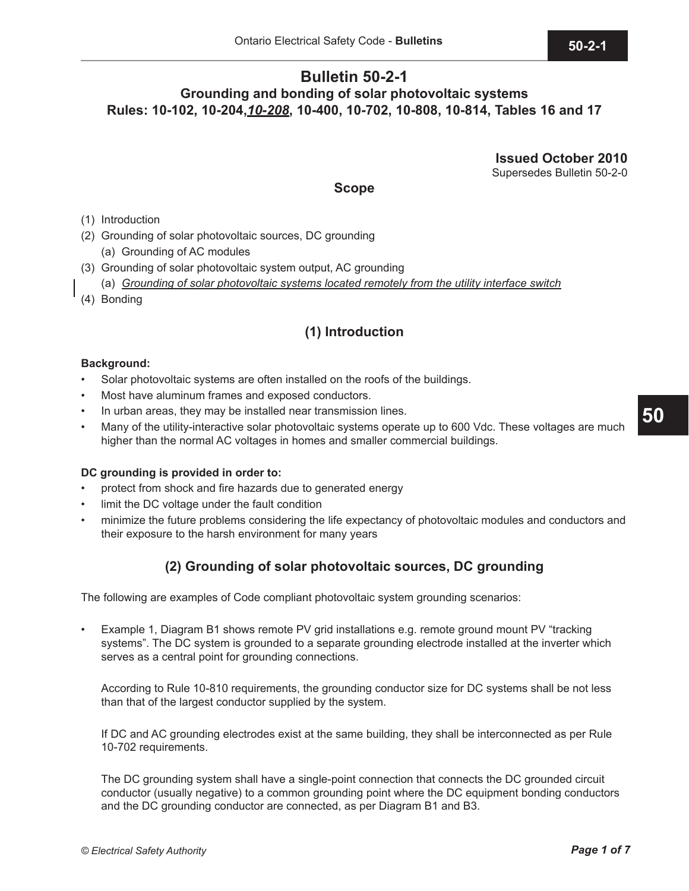## **Bulletin 50-2-1 Grounding and bonding of solar photovoltaic systems Rules: 10-102, 10-204,***10-208***, 10-400, 10-702, 10-808, 10-814, Tables 16 and 17**

**Issued October 2010**

Supersedes Bulletin 50-2-0

**Scope**

(1) Introduction

- (2) Grounding of solar photovoltaic sources, DC grounding
	- (a) Grounding of AC modules
- (3) Grounding of solar photovoltaic system output, AC grounding
	- (a) *Grounding of solar photovoltaic systems located remotely from the utility interface switch*
- (4) Bonding

# **(1) Introduction**

### **Background:**

- Solar photovoltaic systems are often installed on the roofs of the buildings.
- Most have aluminum frames and exposed conductors.
- In urban areas, they may be installed near transmission lines.
- Many of the utility-interactive solar photovoltaic systems operate up to 600 Vdc. These voltages are much higher than the normal AC voltages in homes and smaller commercial buildings.

#### **DC grounding is provided in order to:**

- protect from shock and fire hazards due to generated energy
- limit the DC voltage under the fault condition
- minimize the future problems considering the life expectancy of photovoltaic modules and conductors and their exposure to the harsh environment for many years

## **(2) Grounding of solar photovoltaic sources, DC grounding**

The following are examples of Code compliant photovoltaic system grounding scenarios:

• Example 1, Diagram B1 shows remote PV grid installations e.g. remote ground mount PV "tracking systems". The DC system is grounded to a separate grounding electrode installed at the inverter which serves as a central point for grounding connections.

According to Rule 10-810 requirements, the grounding conductor size for DC systems shall be not less than that of the largest conductor supplied by the system.

If DC and AC grounding electrodes exist at the same building, they shall be interconnected as per Rule 10-702 requirements.

The DC grounding system shall have a single-point connection that connects the DC grounded circuit conductor (usually negative) to a common grounding point where the DC equipment bonding conductors and the DC grounding conductor are connected, as per Diagram B1 and B3.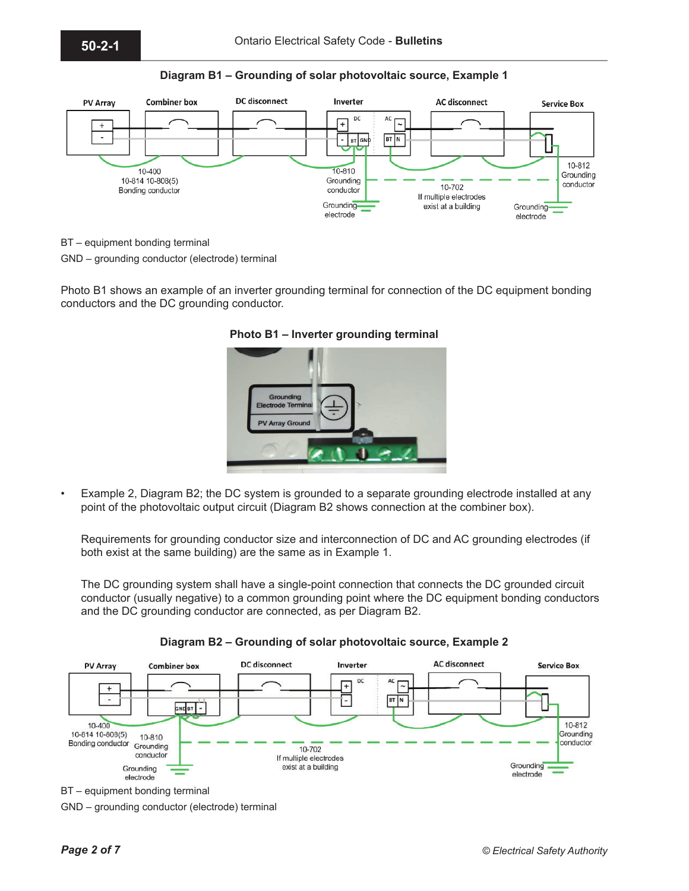

**Diagram B1 – Grounding of solar photovoltaic source, Example 1**

BT – equipment bonding terminal

GND – grounding conductor (electrode) terminal

Photo B1 shows an example of an inverter grounding terminal for connection of the DC equipment bonding conductors and the DC grounding conductor.



**Photo B1 – Inverter grounding terminal** 

• Example 2, Diagram B2; the DC system is grounded to a separate grounding electrode installed at any point of the photovoltaic output circuit (Diagram B2 shows connection at the combiner box).

Requirements for grounding conductor size and interconnection of DC and AC grounding electrodes (if both exist at the same building) are the same as in Example 1.

The DC grounding system shall have a single-point connection that connects the DC grounded circuit conductor (usually negative) to a common grounding point where the DC equipment bonding conductors and the DC grounding conductor are connected, as per Diagram B2.



**Diagram B2 – Grounding of solar photovoltaic source, Example 2** 

BT – equipment bonding terminal

GND – grounding conductor (electrode) terminal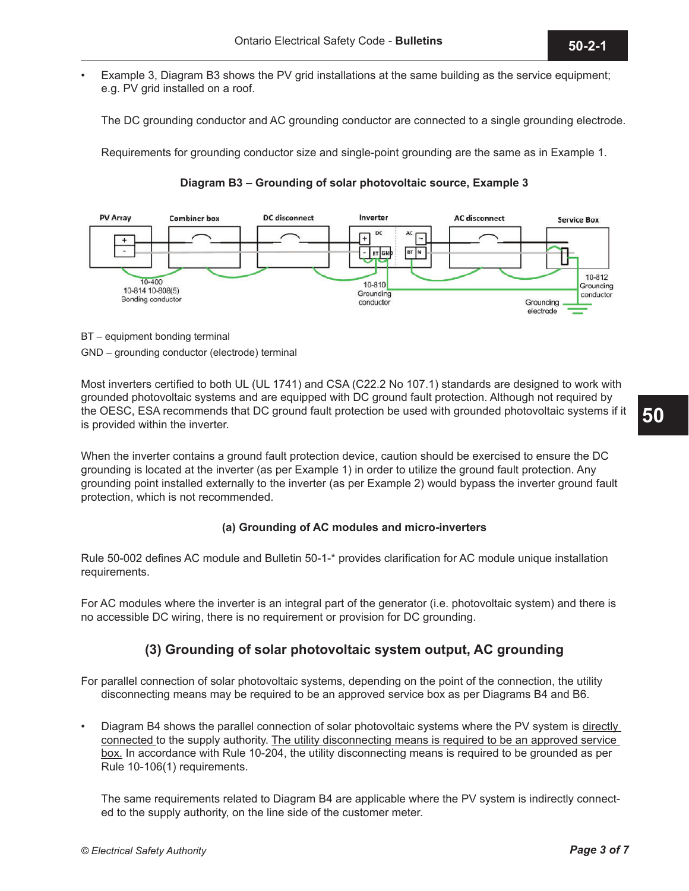• Example 3, Diagram B3 shows the PV grid installations at the same building as the service equipment; e.g. PV grid installed on a roof.

The DC grounding conductor and AC grounding conductor are connected to a single grounding electrode.

Requirements for grounding conductor size and single-point grounding are the same as in Example 1.

**Diagram B3 – Grounding of solar photovoltaic source, Example 3**



BT – equipment bonding terminal

GND – grounding conductor (electrode) terminal

Most inverters certified to both UL (UL 1741) and CSA (C22.2 No 107.1) standards are designed to work with grounded photovoltaic systems and are equipped with DC ground fault protection. Although not required by the OESC, ESA recommends that DC ground fault protection be used with grounded photovoltaic systems if it is provided within the inverter.

When the inverter contains a ground fault protection device, caution should be exercised to ensure the DC grounding is located at the inverter (as per Example 1) in order to utilize the ground fault protection. Any grounding point installed externally to the inverter (as per Example 2) would bypass the inverter ground fault protection, which is not recommended.

## **(a) Grounding of AC modules and micro-inverters**

Rule 50-002 defines AC module and Bulletin 50-1-\* provides clarification for AC module unique installation requirements.

For AC modules where the inverter is an integral part of the generator (i.e. photovoltaic system) and there is no accessible DC wiring, there is no requirement or provision for DC grounding.

## **(3) Grounding of solar photovoltaic system output, AC grounding**

For parallel connection of solar photovoltaic systems, depending on the point of the connection, the utility disconnecting means may be required to be an approved service box as per Diagrams B4 and B6.

Diagram B4 shows the parallel connection of solar photovoltaic systems where the PV system is directly connected to the supply authority. The utility disconnecting means is required to be an approved service box. In accordance with Rule 10-204, the utility disconnecting means is required to be grounded as per Rule 10-106(1) requirements.

The same requirements related to Diagram B4 are applicable where the PV system is indirectly connected to the supply authority, on the line side of the customer meter.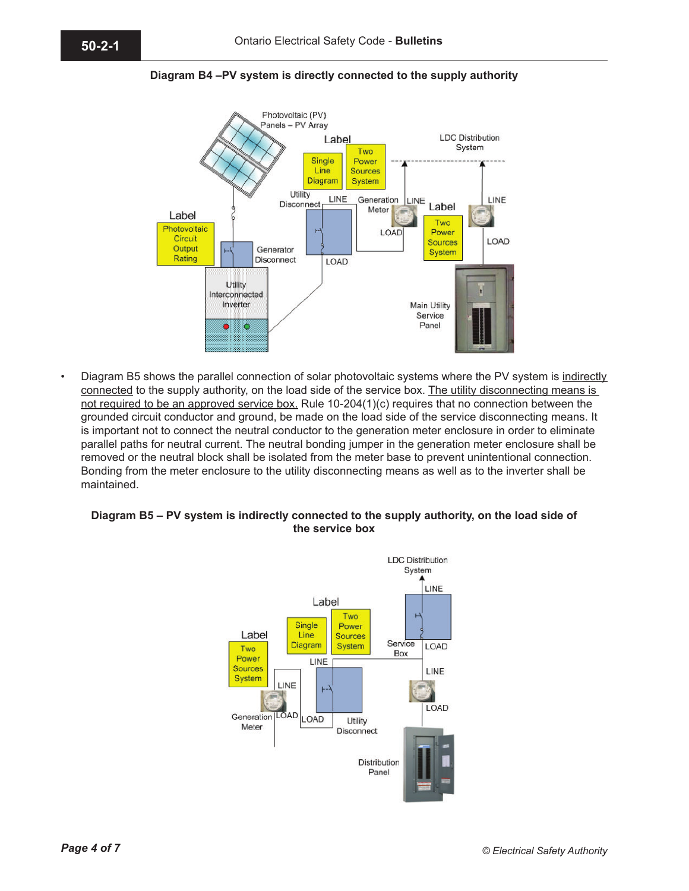



• Diagram B5 shows the parallel connection of solar photovoltaic systems where the PV system is indirectly connected to the supply authority, on the load side of the service box. The utility disconnecting means is not required to be an approved service box. Rule 10-204(1)(c) requires that no connection between the grounded circuit conductor and ground, be made on the load side of the service disconnecting means. It is important not to connect the neutral conductor to the generation meter enclosure in order to eliminate parallel paths for neutral current. The neutral bonding jumper in the generation meter enclosure shall be removed or the neutral block shall be isolated from the meter base to prevent unintentional connection. Bonding from the meter enclosure to the utility disconnecting means as well as to the inverter shall be maintained.

#### **Diagram B5 – PV system is indirectly connected to the supply authority, on the load side of the service box**

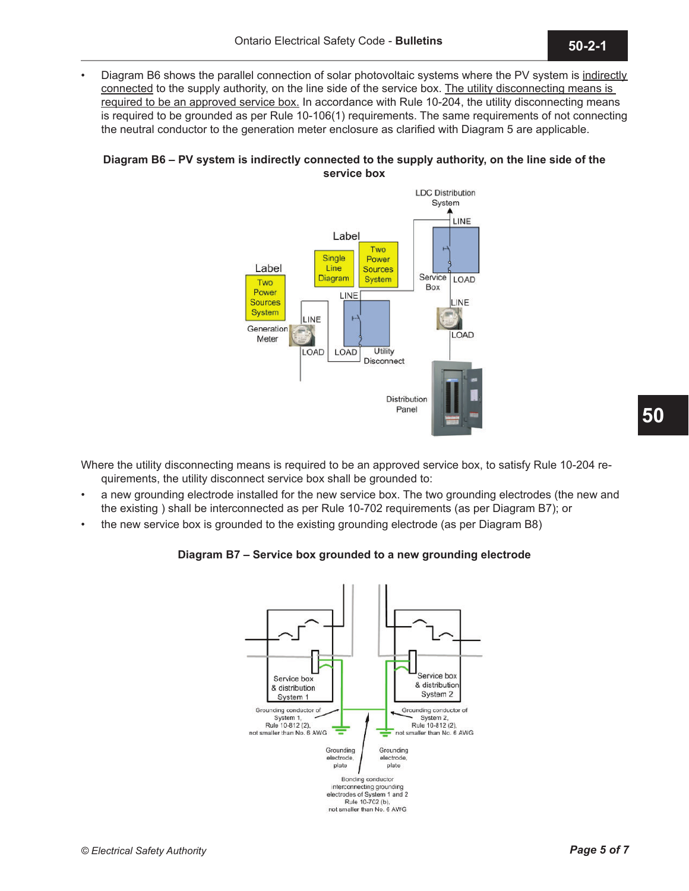Diagram B6 shows the parallel connection of solar photovoltaic systems where the PV system is indirectly connected to the supply authority, on the line side of the service box. The utility disconnecting means is required to be an approved service box. In accordance with Rule 10-204, the utility disconnecting means is required to be grounded as per Rule 10-106(1) requirements. The same requirements of not connecting the neutral conductor to the generation meter enclosure as clarified with Diagram 5 are applicable.

### **Diagram B6 – PV system is indirectly connected to the supply authority, on the line side of the service box**



Where the utility disconnecting means is required to be an approved service box, to satisfy Rule 10-204 requirements, the utility disconnect service box shall be grounded to:

- a new grounding electrode installed for the new service box. The two grounding electrodes (the new and the existing ) shall be interconnected as per Rule 10-702 requirements (as per Diagram B7); or
- the new service box is grounded to the existing grounding electrode (as per Diagram B8)

## **Diagram B7 – Service box grounded to a new grounding electrode**



**50**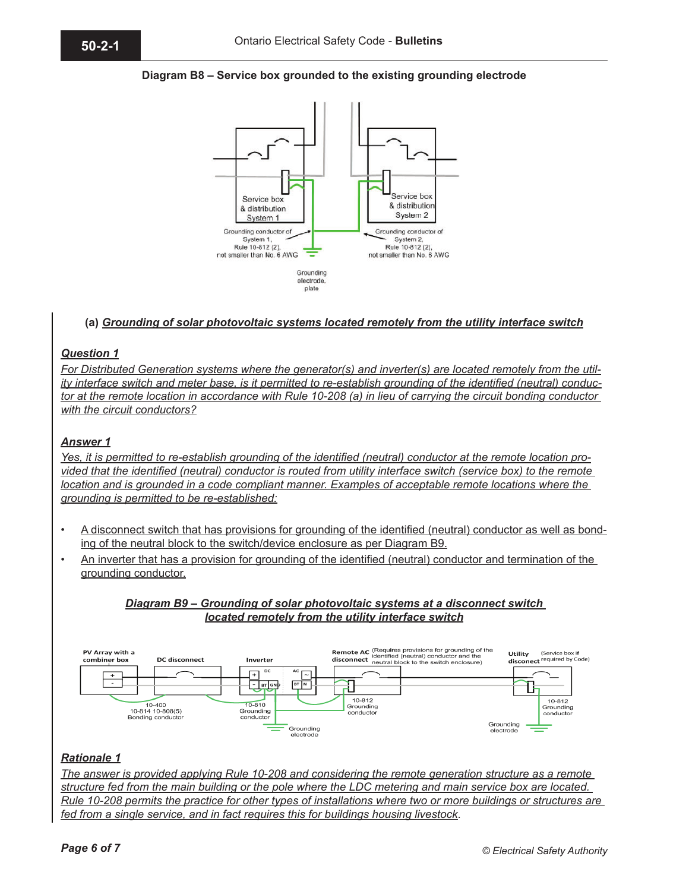### **Diagram B8 – Service box grounded to the existing grounding electrode**



#### **(a)** *Grounding of solar photovoltaic systems located remotely from the utility interface switch*

#### *Question 1*

*For Distributed Generation systems where the generator(s) and inverter(s) are located remotely from the utility interface switch and meter base, is it permitted to re-establish grounding of the identified (neutral) conductor at the remote location in accordance with Rule 10-208 (a) in lieu of carrying the circuit bonding conductor with the circuit conductors?*

#### *Answer 1*

*Yes, it is permitted to re-establish grounding of the identified (neutral) conductor at the remote location provided that the identified (neutral) conductor is routed from utility interface switch (service box) to the remote location and is grounded in a code compliant manner. Examples of acceptable remote locations where the grounding is permitted to be re-established:*

- A disconnect switch that has provisions for grounding of the identified (neutral) conductor as well as bonding of the neutral block to the switch/device enclosure as per Diagram B9.
- An inverter that has a provision for grounding of the identified (neutral) conductor and termination of the grounding conductor.

### *Diagram B9 – Grounding of solar photovoltaic systems at a disconnect switch located remotely from the utility interface switch*



#### *Rationale 1*

*The answer is provided applying Rule 10-208 and considering the remote generation structure as a remote structure fed from the main building or the pole where the LDC metering and main service box are located. Rule 10-208 permits the practice for other types of installations where two or more buildings or structures are fed from a single service, and in fact requires this for buildings housing livestock*.